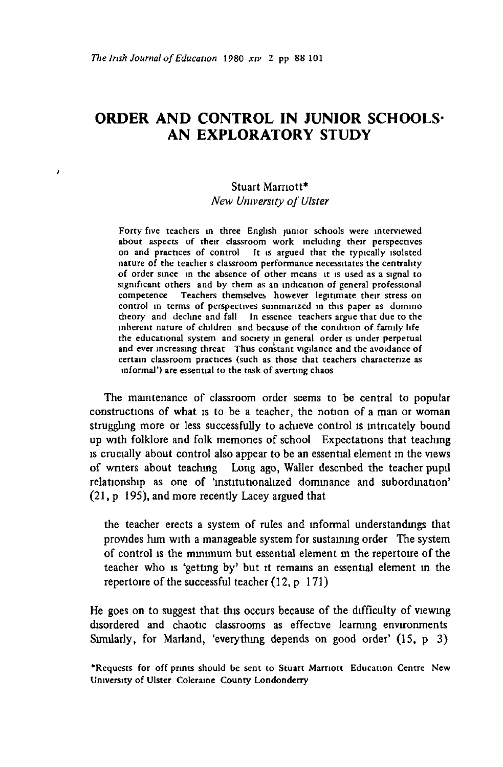$\lambda$ 

# ORDER AND CONTROL IN JUNIOR SCHOOLS-AN EXPLORATORY STUDY

# **Stuart Marriott\*** *New University of Ulster*

Forty five teachers in three English junior schools were interviewed about aspects of their classroom work including their perspectives on and practices of control It is argued that the typically isolated nature of the teacher s classroom performance necessitates the centrality of order since in the absence of other means it is used as a signal to significant others and by them as an indication of general professional competence Teachers themselves however legitimate their stress on control in terms of perspectives summarized in this paper as domino theory and decline and fall In essence teachers argue that due to the inherent nature of children and because of the condition of family life the educational system and society in general order is under perpetual and ever increasing threat Thus constant vigilance and the avoidance of certain classroom practices (such as those that teachers characterize as informal') are essential to the task of averting chaos

**The maintenance of classroom order seems to be central to popular constructions of what is to be a teacher, the notion of a man or woman struggling more or less successfully to achieve control is intricately bound up with folklore and folk memories of school Expectations that teaching is crucially about control also appear to be an essential element in the views of waters about teaching Long ago, Waller described the teacher pupil relationship as one of 'institutionalized dominance and subordination' (21, p 195), and more recently Lacey argued that**

**the teacher erects a system of rules and informal understandmgs that provides him with a manageable system for sustaining order The system of control is the minimum but essential element m the repertoire of the teacher who is 'getting by' but it remams an essential element in the repertoire of the successful teacher (12, p 171)**

**He goes on to suggest that this occurs because of the difficulty of viewing disordered and chaotic classrooms as effective learning environments** Similarly, for Marland, 'everything depends on good order' (15, p 3)

<sup>•</sup>Requests for off prints should be sent to Stuart Marriott Education Centre New University of Ulster Coleraine County Londonderry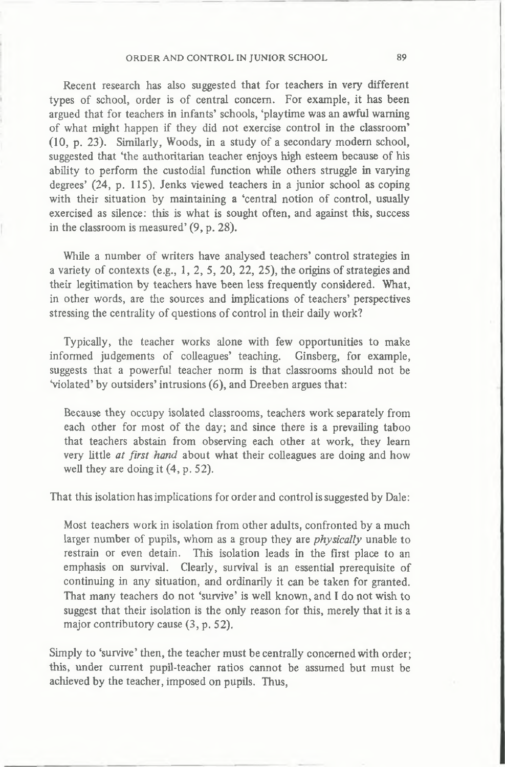**Recent research has also suggested that for teachers in very different types of school, order is of central concern. For example, it has been argued that for teachers in infants' schools, 'playtime was an awful warning of what might happen if they did not exercise control in the classroom' (10, p. 23). Similarly, Woods, in a study of a secondary modem school, suggested that 'the authoritarian teacher enjoys high esteem because of his ability to perform the custodial function while others struggle in varying degrees' (24, p. 115). Jenks viewed teachers in a junior school as coping with their situation by maintaining a 'central notion of control, usually exercised as silence: this is what is sought often, and against this, success in the classroom is measured' (9, p. 28).**

**While a number of writers have analysed teachers' control strategies in a variety of contexts (e.g., 1, 2, 5, 20, 22, 25), the origins of strategies and their legitimation by teachers have been less frequently considered. What, in other words, are the sources and implications of teachers' perspectives stressing the centrality of questions of control in their daily work?**

**Typically, the teacher works alone with few opportunities to make informed judgements of colleagues' teaching. Ginsberg, for example, suggests that a powerful teacher norm is that classrooms should not be Violated' by outsiders' intrusions (6), and Dreeben argues that:**

**Because they occupy isolated classrooms, teachers work separately from each other for most of the day; and since there is a prevailing taboo that teachers abstain from observing each other at work, they leam very little** *at first hand* **about what their colleagues are doing and how well they are doing it (4, p. 52).**

**That this isolation has implications for order and control is suggested by Dale:**

**Most teachers work in isolation from other adults, confronted by a much larger number of pupils, whom as a group they are** *physically* **unable to restrain or even detain. This isolation leads in the first place to an emphasis on survival. Clearly, survival is an essential prerequisite of continuing in any situation, and ordinarily it can be taken for granted. That many teachers do not 'survive' is well known, and I do not wish to suggest that their isolation is the only reason for this, merely that it is a major contributory cause (3, p. 52).**

**Simply to 'survive' then, the teacher must be centrally concerned with order; this, under current pupil-teacher ratios cannot be assumed but must be achieved by the teacher, imposed on pupils. Thus,**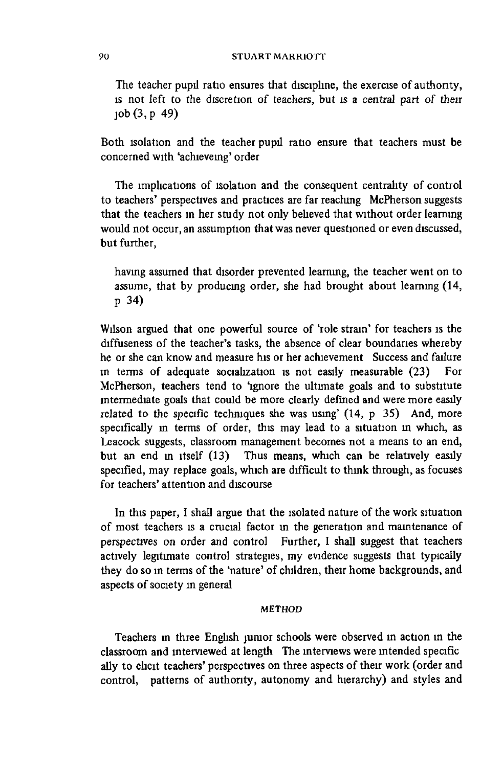### 90 STUART MARRIOTT

**The teacher pupil ratio ensures that discipline, the exercise of authority, is not left to the discretion of teachers, but** *is* **a central part of their job (3, p 49)**

**Both isolation and the teacher pupil ratio ensure that teachers must be concerned with 'achievemg' order**

**The implications of isolation and the consequent centrality of control to teachers' perspectives and practices are far reaching McPherson suggests that the teachers in her study not only believed that without order learning would not occur, an assumption that was never questioned or even discussed, but further,**

**having assumed that disorder prevented learning, the teacher went on to assume, that by producing order, she had brought about leammg (14, P 34)**

**Wilson argued that one powerful source of 'role strain' for teachers is the diffuseness of the teacher's tasks, the absence of clear boundaries whereby he or she can know and measure his or her achievement Success and failure in terms of adequate socialization is not easily measurable (23) For McPherson, teachers tend to 'ignore the ultimate goals and to substitute intermediate goals that could be more clearly defined and were more easily related to the specific techniques she was using' (14, p 35) And, more specifically m terms of order, this may lead to a situation in which, as Leacock suggests, classroom management becomes not a means to an end, but an end m itself (13) Thus means, which can be relatively easily specified, may replace goals, which are difficult to think through, as focuses for teachers' attention and discourse**

**In this paper, I shall argue that the isolated nature of the work situation of most teachers is a crucial factor in the generation and maintenance of perspectives on order and control Further, I shall suggest that teachers actively legitimate control strategies, my evidence suggests that typically they do so in terms of the 'nature' of children, their home backgrounds, and aspects of society in general**

### METHOD

**Teachers in three English junior schools were observed in action in the classroom and interviewed at length The interviews were intended specific ally to ehcit teachers' perspectives on three aspects of their work (order and control, patterns of authority, autonomy and hierarchy) and styles and**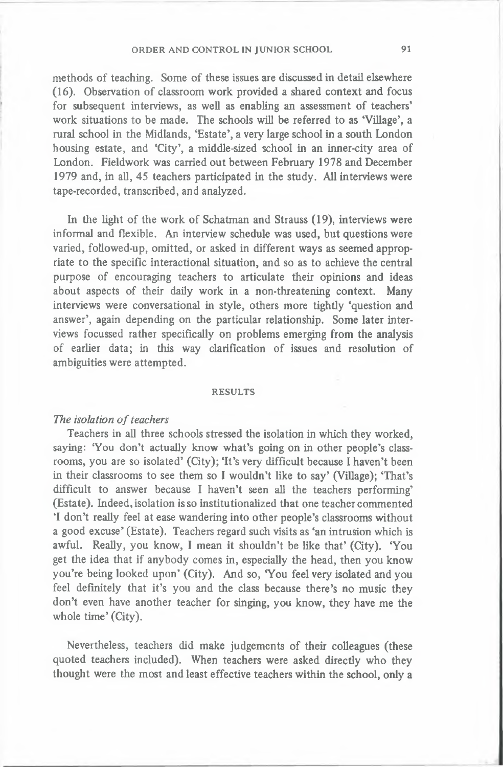**methods of teaching. Some of these issues are discussed in detail elsewhere (16). Observation of classroom work provided a shared context and focus for subsequent interviews, as well as enabling an assessment of teachers' work situations to be made. The schools will be referred to as 'Village', a rural school in the Midlands, 'Estate', a very large school in a south London housing estate, and 'City', a middle-sized school in an inner-city area of London. Fieldwork was carried out between February 1978 and December 1979 and, in all, 45 teachers participated in the study. All interviews were tape-recorded, transcribed, and analyzed.**

**In the light of the work of Schatman and Strauss (19), interviews were informal and flexible. An interview schedule was used, but questions were varied, followed-up, omitted, or asked in different ways as seemed appropriate to the specific interactional situation, and so as to achieve the central purpose of encouraging teachers to articulate their opinions and ideas about aspects of their daily work in a non-threatening context. Many interviews were conversational in style, others more tightly 'question and answer', again depending on the particular relationship. Some later interviews focussed rather specifically on problems emerging from the analysis of earlier data; in this way clarification of issues and resolution of ambiguities were attempted.**

### RESULTS

### *The isolation of teachers*

**Teachers in all three schools stressed the isolation in which they worked, saying: 'You don't actually know what's going on in other people's classrooms, you are so isolated' (City); 'It's very difficult because I haven't been in their classrooms to see them so I wouldn't like to say' (Village); 'That's difficult to answer because I haven't seen all the teachers performing' (Estate). Indeed, isolation is so institutionalized that one teacher commented 'I don't really feel at ease wandering into other people's classrooms without a good excuse' (Estate). Teachers regard such visits as 'an intrusion which is awful. Really, you know, I mean it shouldn't be like that' (City). 'You get the idea that if anybody comes in, especially the head, then you know you're being looked upon' (City). And so, 'You feel very isolated and you feel definitely that it's you and the class because there's no music they don't even have another teacher for singing, you know, they have me the whole time' (City).**

**Nevertheless, teachers did make judgements of their colleagues (these quoted teachers included). When teachers were asked directly who they thought were the most and least effective teachers within the school, only a**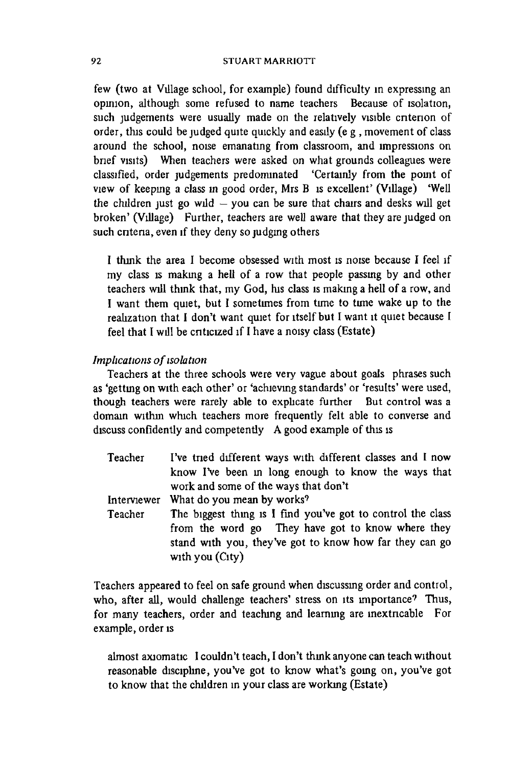**few (two at Village school, for example) found difficulty in expressing an opmion, although some refused to name teachers Because of isolation,** such judgements were usually made on the relatively visible criterion of **order, this could be judged quite quickly and easily (e g , movement of class around the school, noise emanating from classroom, and impressions on brief visits) When teachers were asked on what grounds colleagues were classified, order judgements predominated 'Certainly from the point of** view of keeping a class in good order, Mrs B is excellent' (Village) 'Well **the children just go wild — you can be sure that chairs and desks will get broken' (Village) Further, teachers are well aware that they are judged on such criteria, even if they deny so judging others**

**I think the area I become obsessed with most is noise because I feel if my class is making a hell of a row that people passing by and other teachers will think that, my God, his class is making a hell of a row, and I want them quiet, but I sometimes from time to time wake up to the realization that I don't want quiet for itself but I want it quiet because I feel that I will be criticized if I have a noisy class (Estate)**

# *Implications of isolation*

**Teachers at the three schools were very vague about goals phrases such as 'getting on with each other' or 'achieving standards' or 'results' were used, though teachers were rarely able to explicate further But control was a domain within which teachers more frequently felt able to converse and discuss confidently and competently A good example of this is**

- **Teacher I've tried different ways with different classes and I now know I've been in long enough to know the ways that work and some of the ways that don't**
- **Interviewer What do you mean by works9**
- **Teacher The biggest thing is I find you've got to control the class from the word go They have got to know where they stand with you, they've got to know how far they can go with you (City)**

**Teachers appeared to feel on safe ground when discussing order and control, who, after all, would challenge teachers' stress on its importance9 Thus, for many teachers, order and teaching and learning are inextricable For example, order is**

**almost axiomatic I couldn't teach, I don't think anyone can teach without reasonable discipline, you've got to know what's going on, you've got to know that the children in your class are working (Estate)**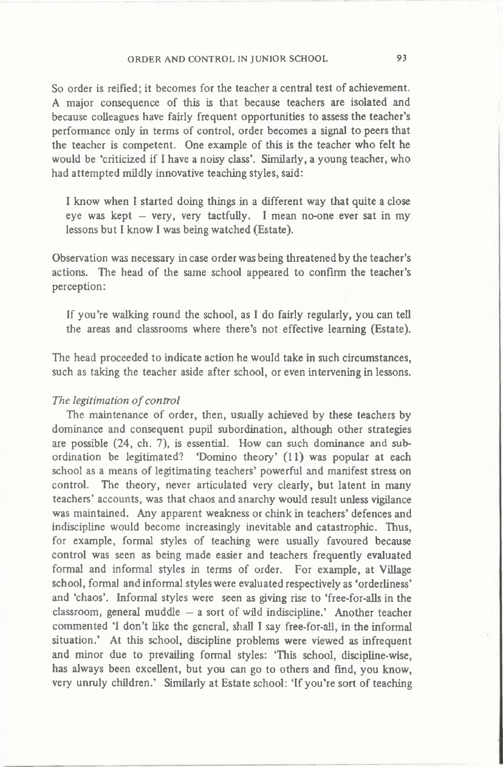**So order is reified; it becomes for the teacher a central test of achievement. A major consequence of this is that because teachers are isolated and because colleagues have fairly frequent opportunities to assess the teacher's performance only in terms of control, order becomes a signal to peers that the teacher is competent. One example of this is the teacher who felt he would be 'criticized if I have a noisy class'. Similarly, a young teacher, who had attempted mildly innovative teaching styles, said:**

**I know when I started doing things in a different way that quite a close eye was kept — very, very tactfully. I mean no-one ever sat in my lessons but I know I was being watched (Estate).**

**Observation was necessary in case order was being threatened by the teacher's actions. The head of the same school appeared to confirm the teacher's perception:**

**If you're walking round the school, as I do fairly regularly, you can tell the areas and classrooms where there's not effective learning (Estate).**

**The head proceeded to indicate action he would take in such circumstances, such as taking the teacher aside after school, or even intervening in lessons.**

# *The legitimation of control*

**The maintenance of order, then, usually achieved by these teachers by dominance and consequent pupil subordination, although other strategies are possible (24, ch. 7), is essential. How can such dominance and subordination be legitimated? 'Domino theory' (11) was popular at each school as a means of legitimating teachers' powerful and manifest stress on control. The theory, never articulated very clearly, but latent in many teachers' accounts, was that chaos and anarchy would result unless vigilance was maintained. Any apparent weakness or chink in teachers' defences and indiscipline would become increasingly inevitable and catastrophic. Thus, for example, formal styles of teaching were usually favoured because control was seen as being made easier and teachers frequently evaluated formal and informal styles in terms of order. For example, at Village school, formal and informal styles were evaluated respectively as 'orderliness' and 'chaos'. Informal styles were seen as giving rise to 'free-for-alls in the classroom, general muddle — a sort of wild indiscipline.' Another teacher commented 'I don't like the general, shall I say free-for-all, in the informal situation.' At this school, discipline problems were viewed as infrequent and minor due to prevailing formal styles: 'This school, discipline-wise, has always been excellent, but you can go to others and find, you know, very unruly children.' Similarly at Estate school: 'If you're sort of teaching**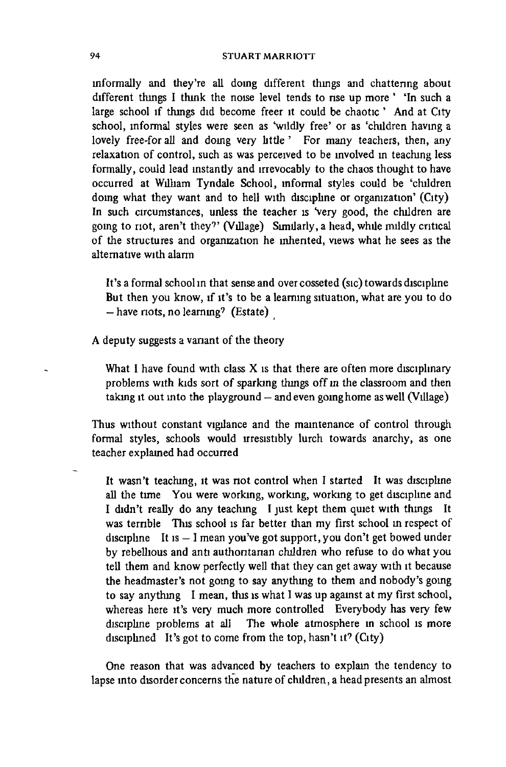**informally and they're all domg different things and chattering about different things I think the noise level tends to rise up more ' 'In such a** large school if things did become freer it could be chaotic' And at City **school, informal styles were seen as 'wildly free' or as 'children having a lovely free-for all and doing very little ' For many teachers, then, any relaxation of control, such as was perceived to be involved in teaching less formally, could lead instantly and irrevocably to the chaos thought to have occurred at William Tyndale School, informal styles could be 'children doing what they want and to hell with discipline or organization' (City) In such circumstances, unless the teacher is Very good, the children are** going to riot, aren't they?' (Village) Similarly, a head, while mildly critical **of the structures and organization he inherited, views what he sees as the alternative with alarm**

**It's a formal school in that sense and over cosseted (sic) towards discipline But then you know, if it's to be a learning situation, what are you to do — have riots, no learning7 (Estate)**

**A deputy suggests a variant of the theory**

**What I have found with class X is that there are often more disciplinary problems with kids sort of sparking things off in the classroom and then taking it out into the playground — and even going home as well (Village)**

**Thus without constant vigilance and the maintenance of control through formal styles, schools would irresistibly lurch towards anarchy, as one teacher explained had occurred**

**It wasn't teaching, it was not control when I started It was discipline all the time You were working, working, working to get discipline and I didn't really do any teaching I just kept them quiet with things It was ternble This school is far better than my first school in respect of discipline It is — I mean you've got support, you don't get bowed under by rebellious and anti authontanan children who refuse to do what you tell them and know perfectly well that they can get away with it because the headmaster's not going to say anything to them and nobody's gomg to say anything I mean, this is what I was up against at my first school, whereas here it's very much more controlled Everybody has very few discipline problems at all The whole atmosphere in school is more disciplined It's got to come from the top, hasn't it7 (City)**

**One reason that was advanced by teachers to explain the tendency to lapse into disorder concerns the nature of children, a head presents an almost**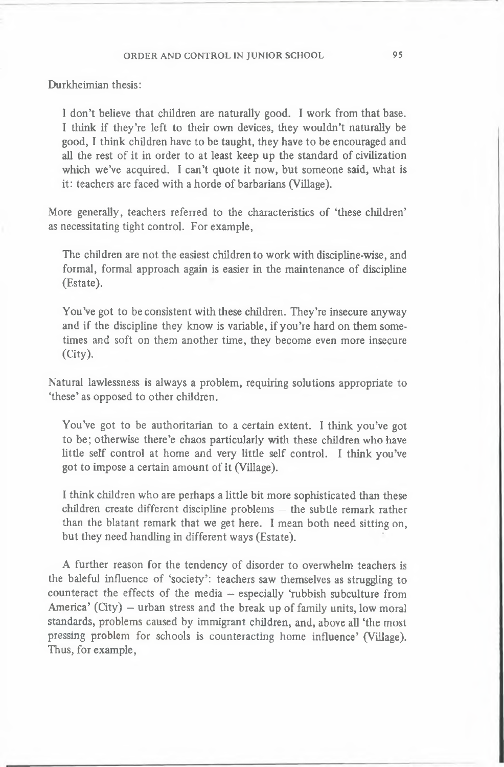**Durkheimian thesis:**

**I don't believe that children are naturally good. I work from that base. I think if they're left to their own devices, they wouldn't naturally be good, I think children have to be taught, they have to be encouraged and all the rest of it in order to at least keep up the standard of civilization which we've acquired. I can't quote it now, but someone said, what is it: teachers are faced with a horde of barbarians (Village).**

**More generally, teachers referred to the characteristics of 'these children' as necessitating tight control. For example,**

**The children are not the easiest children to work with discipline-wise, and formal, formal approach again is easier in the maintenance of discipline (Estate).**

**You've got to be consistent with these children. They're insecure anyway and if the discipline they know is variable, if you're hard on them sometimes and soft on them another time, they become even more insecure (City).**

**Natural lawlessness is always a problem, requiring solutions appropriate to 'these' as opposed to other children.**

**You've got to be authoritarian to a certain extent. I think you've got to be; otherwise there'e chaos particularly with these children who have little self control at home and very little self control. I think you've got to impose a certain amount of it (Village).**

**I think children who are perhaps a little bit more sophisticated than these children create different discipline problems — the subtle remark rather than the blatant remark that we get here. I mean both need sitting on, but they need handling in different ways (Estate).**

**A further reason for the tendency of disorder to overwhelm teachers is the baleful influence of 'society': teachers saw themselves as struggling to counteract the effects of the media — especially 'rubbish subculture from America' (City) — urban stress and the break up of family units, low moral standards, problems caused by immigrant children, and, above all 'the most pressing problem for schools is counteracting home influence' (Village). Thus, for example,**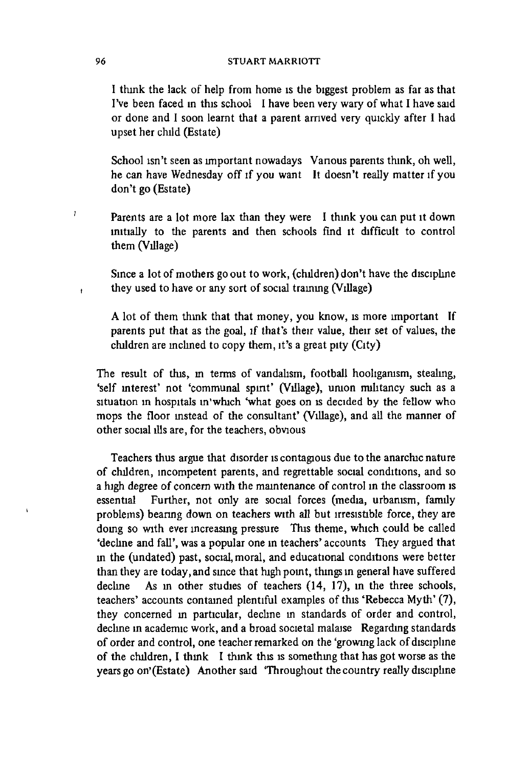### 96 STUART MARRIOTT

**I think the lack of help from home is the biggest problem as far as that I've been faced in this school I have been very wary of what I have said or done and I soon learnt that a parent arrived very quickly after I had upset her child (Estate)**

**School isn't seen as important nowadays Various parents think, oh well, he can have Wednesday off if you want It doesn't really matter if you don't go (Estate)**

**Parents are a lot more lax than they were I think you can put it down initially to the parents and then schools find it difficult to control them (Village)**

**Since a lot of mothers go out to work, (children) don't have the discipline they used to have or any sort of social training (Village)**

**A lot of them think that that money, you know, is more important If parents put that as the goal, if that's their value, their set of values, the children are inclined to copy them, it's a great pity (City)**

**The result of this, in terms of vandalism, football hooliganism, stealing, 'self interest' not 'communal spirit' (Village), union militancy such as a situation in hospitals in'which 'what goes on is decided by the fellow who mops the floor mstead of the consultant' (Village), and all the manner of other social ills are, for the teachers, obvious**

**Teachers thus argue that disorder is contagious due to the anarchic nature of children, incompetent parents, and regrettable social conditions, and so a high degree of concern with the maintenance of control in the classroom is essential Further, not only are social forces (media, urbanism, family problems) bearing down on teachers with all but irresistible force, they are doing so with ever increasing pressure This theme, which could be called 'decline and fall', was a popular one in teachers' accounts They argued that in the (undated) past, social, moral, and educational conditions were better than they are today, and since that high point, things in general have suffered decline As in other studies of teachers (14, 17), in the three schools, teachers' accounts contained plentiful examples of this 'Rebecca Myth' (7), they concerned m particular, decline m standards of order and control, decline in academic work, and a broad societal malaise Regarding standards of order and control, one teacher remarked on the 'growing lack of discipline of the children, I think I think this is something that has got worse as the years go on'(Estate) Another said 'Throughout the country really discipline**

 $\overline{1}$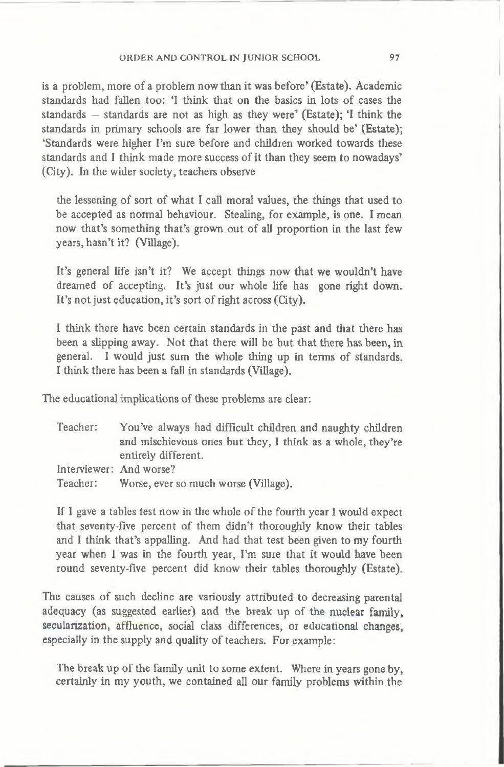**is a problem, more of a problem now than it was before' (Estate). Academic standards had fallen too: 'I think that on the basics in lots of cases the standards — standards are not as high as they were' (Estate); 'I think the standards in primary schools are far lower than they should be' (Estate); 'Standards were higher I'm sure before and children worked towards these standards and I think made more success of it than they seem to nowadays' (City). In the wider society, teachers observe**

**the lessening of sort of what I call moral values, the things that used to be accepted as normal behaviour. Stealing, for example, is one. I mean now that's something that's grown out of all proportion in the last few years, hasn't it? (Village).**

**It's general life isn't it? We accept things now that we wouldn't have dreamed of accepting. It's just our whole life has gone right down. It's not just education, it's sort of right across (City).**

**I think there have been certain standards in the past and that there has been a slipping away. Not that there will be but that there has been, in general. I would just sum the whole thing up in terms of standards. I think there has been a fall in standards (Village).**

**The educational implications of these problems are clear :**

| Teacher: | You've always had difficult children and naughty children  |
|----------|------------------------------------------------------------|
|          | and mischievous ones but they, I think as a whole, they're |
|          | entirely different.                                        |
|          | Interviewer: And worse?                                    |
| Teacher: | Worse, ever so much worse (Village).                       |

**If I gave a tables test now in the whole of the fourth year I would expect that seventy-five percent of them didn't thoroughly know their tables and I think that's appalling. And had that test been given to my fourth year when I was in the fourth year, I'm sure that it would have been round seventy-five percent did know their tables thoroughly (Estate).**

**The causes of such decline are variously attributed to decreasing parental adequacy (as suggested earlier) and the break up of the nuclear family, secularization, affluence, social class differences, or educational changes, especially in the supply and quality of teachers. For example:**

**The break up of the family unit to some extent. Where in years gone by, certainly in my youth, we contained all our family problems within the**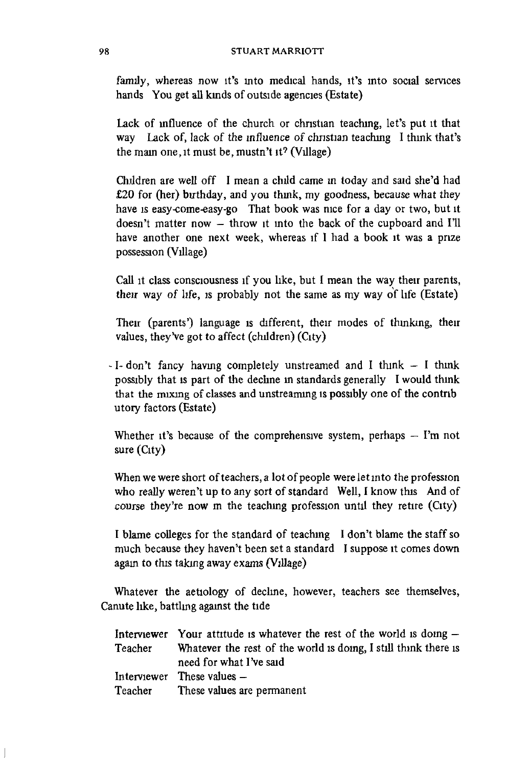#### 98 STUART MARRIOTT

**family, whereas now it's into medical hands, it's into social services hands You get all kmds of outside agencies (Estate)**

Lack of influence of the church or christian teaching, let's put it that **way Lack of, lack of the influence of chnstian teaching I think that's the mam one,it must be, mustn't it7 (Village)**

**Children are well off I mean a child came** *in* **today and said she'd had £20 for (her) birthday, and you think, my goodness, because what they have is easy-come-easy-go That book was nice for a day or two, but it doesn't matter now — throw it mto the back of the cupboard and I'll have another one next week, whereas if I had a book it was a prize possession (Village)**

**Call it class consciousness if you like, but I mean the way their parents, their way of life, is probably not the same as my way of life (Estate)**

**Their (parents') language is different, their modes of thinking, their values, they've got to affect (children) (City)**

**- 1- don't fancy having completely unstreamed and I think — I think possibly that is part of the decline in standards generally I would think that the mixing of classes and unstreaming is possibly one of the contnb utory factors (Estate)**

**Whether it's because of the comprehensive system, perhaps — I'm not sure (City)**

**When we were short of teachers, a lot of people were let into the profession who really weren't up to any sort of standard Well, I know this And of course they're now m the teaching profession until they retire (City)**

**I blame colleges for the standard of teaching I don't blame the staff so much because they haven't been set a standard I suppose it comes down again to this taking away exams (Village)**

**Whatever the aetiology of decline, however, teachers see themselves, Canute like, battling against the tide**

|         | Interviewer Your attitude is whatever the rest of the world is doing $-$ |
|---------|--------------------------------------------------------------------------|
| Teacher | Whatever the rest of the world is doing, I still think there is          |
|         | need for what I've said                                                  |
|         | Interviewer These values $-$                                             |
| Teacher | These values are permanent                                               |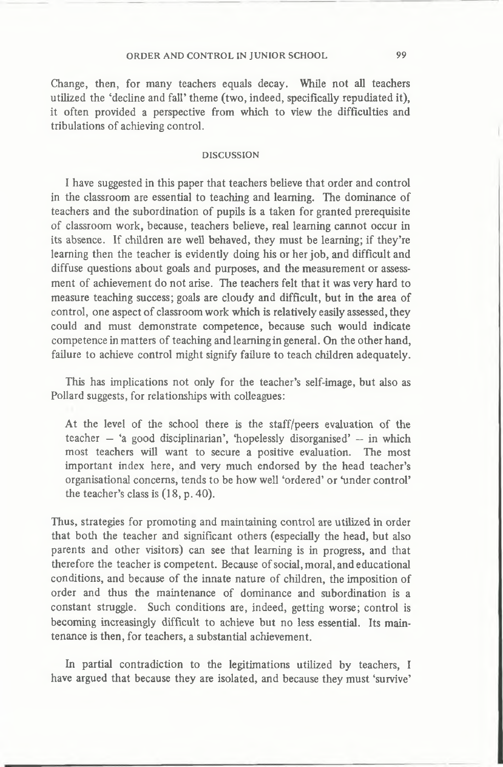**Change, then, for many teachers equals decay. While not all teachers utilized the 'decline and fall\* theme (two, indeed, specifically repudiated it), it often provided a perspective from which to view the difficulties and tribulations of achieving control.**

### DISCUSSION

**I have suggested in this paper that teachers believe that order and control in the classroom are essential to teaching and learning. The dominance of teachers and the subordination of pupils is a taken for granted prerequisite of classroom work, because, teachers believe, real learning cannot occur in its absence. If children are well behaved, they must be learning; if they're learning then the teacher is evidently doing his or her job, and difficult and diffuse questions about goals and purposes, and the measurement or assessment of achievement do not arise. The teachers felt that it was very hard to measure teaching success; goals are cloudy and difficult, but in the area of control, one aspect of classroom work which is relatively easily assessed, they could and must demonstrate competence, because such would indicate competence in matters of teaching and learning in general. On the other hand, failure to achieve control might signify failure to teach children adequately.**

**This has implications not only for the teacher's self-image, but also as Pollard suggests, for relationships with colleagues:**

**At the level of the school there is the staff/peers evaluation of the teacher - 'a good disciplinarian', 'hopelessly disorganised' — in which most teachers will want to secure a positive evaluation. The most important index here, and very much endorsed by the head teacher's** organisational concerns, tends to be how well 'ordered' or 'under control' **the teacher's class is (18, p. 40).**

**Thus, strategies for promoting and maintaining control are utilized in order that both the teacher and significant others (especially the head, but also parents and other visitors) can see that learning is in progress, and that therefore the teacher is competent. Because of social, moral, and educational conditions, and because of the innate nature of children, the imposition of order and thus the maintenance of dominance and subordination is a constant struggle. Such conditions are, indeed, getting worse; control is becoming increasingly difficult to achieve but no less essential. Its maintenance is then, for teachers, a substantial achievement.**

**In partial contradiction to the legitimations utilized by teachers, I have argued that because they are isolated, and because they must 'survive'**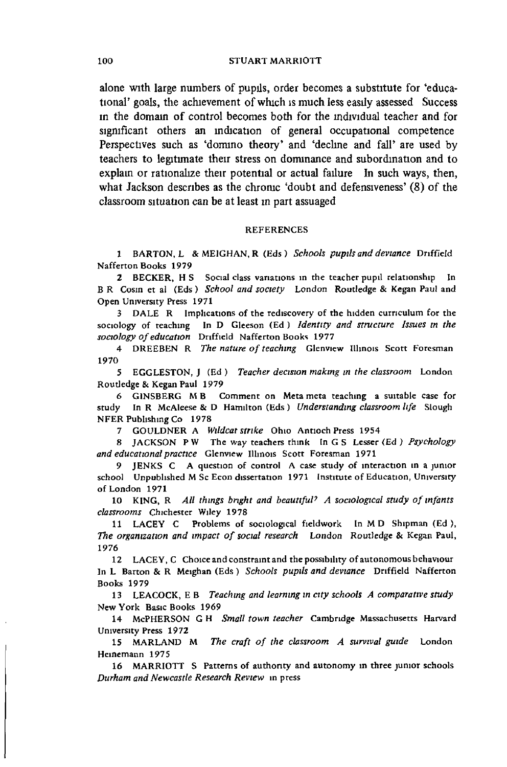**alone with large numbers of pupils, order becomes a substitute for 'educational' goals, the achievement of which is much less easily assessed Success in the domain of control becomes both for the individual teacher and for significant others an indication of general occupational competence Perspectives such as 'domino theory' and 'decline and fall' are used by teachers to legitimate their stress on dominance and subordination and to explain or rationalize their potential or actual failure In such ways, then, what Jackson describes as the chronic 'doubt and defensiveness' (8) of the classroom situation can be at least in part assuaged**

#### REFERENCES

1 BARTON, L & ME1GHAN, R (Eds ) *Schools pupils and deviance* Driffield Nafferton Books 1979

2 BECKER, H S Social class variations in the teacher pupil relationship In B R Cosm et al (Eds ) *School and society* London Routledge & Kegan Paul and Open University Press 1971

3 DALE R Implications of the rediscovery of the hidden curriculum for the sociology of teaching In D Gleeson (Ed) *Identity and structure Issues in the* sociology of education Driffield Nafferton Books 1977

4 DREEBEN R *The nature of teaching* Glenview Illinois Scott Foresman 1970

5 EGGLESTON, J (Ed ) *Teacher decision making in the classroom* London Roudedge & Kegan Paul 1979

6 GINSBERG M B Comment on Meta meta teaching a suitable case for study In R McAleese & D Hamilton (Eds ) *Understanding classroom life* Slough NFER Publishing Co 1978

7 GOULDNER A *Wildcat strike* Ohio Antioch Press 1954

8 JACKSON P W The way teachers think In G S Lesser (Ed ) *Psychology and educational practice* Glenview Illinois Scott Foresman 1971

9 JENKS C A question of control A case study of interaction in a junior school Unpublished M Sc Econ dissertation 1971 Institute of Education, University of London 1971

10 KING, R All things bright and beautiful? A sociological study of infants *classrooms* Chichester Wiley 1978

11 LACEY C Problems of sociological fieldwork In MD Shipman (Ed), The organization and impact of social research London Routledge & Kegan Paul, 1976

12 LACEY, C Choice and constraint and the possibility of autonomous behaviour In L Barton & R Meighan (Eds ) *Schools pupils and deviance* Driffield Nafferton Books 1979

13 LEACOCK, E B *Teaching and learning in city schools A comparative study* New York Basic Books 1969

14 McPHERSON G H Small town teacher Cambridge Massachusetts Harvard University Press 1972

15 MARLAND M *The craft of the classroom A survival guide* London Heinemann 1975

16 MARRIOTT S Patterns of authority and autonomy in three junior schools *Durham and Newcastle Research Review* in press